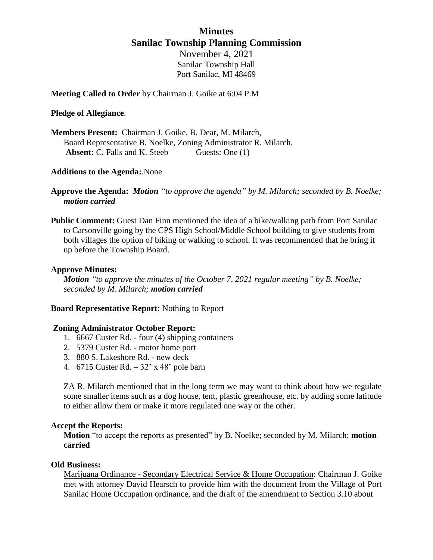## **Minutes Sanilac Township Planning Commission**

November 4, 2021 Sanilac Township Hall Port Sanilac, MI 48469

**Meeting Called to Order** by Chairman J. Goike at 6:04 P.M

## **Pledge of Allegiance**.

**Members Present:** Chairman J. Goike, B. Dear, M. Milarch, Board Representative B. Noelke, Zoning Administrator R. Milarch, **Absent:** C. Falls and K. Steeb Guests: One (1)

## **Additions to the Agenda:**.None

- **Approve the Agenda:** *Motion "to approve the agenda" by M. Milarch; seconded by B. Noelke; motion carried*
- **Public Comment:** Guest Dan Finn mentioned the idea of a bike/walking path from Port Sanilac to Carsonville going by the CPS High School/Middle School building to give students from both villages the option of biking or walking to school. It was recommended that he bring it up before the Township Board.

## **Approve Minutes:**

*Motion "to approve the minutes of the October 7, 2021 regular meeting" by B. Noelke; seconded by M. Milarch; motion carried*

## **Board Representative Report:** Nothing to Report

## **Zoning Administrator October Report:**

- 1. 6667 Custer Rd. four (4) shipping containers
- 2. 5379 Custer Rd. motor home port
- 3. 880 S. Lakeshore Rd. new deck
- 4. 6715 Custer Rd. 32' x 48' pole barn

ZA R. Milarch mentioned that in the long term we may want to think about how we regulate some smaller items such as a dog house, tent, plastic greenhouse, etc. by adding some latitude to either allow them or make it more regulated one way or the other.

#### **Accept the Reports:**

**Motion** "to accept the reports as presented" by B. Noelke; seconded by M. Milarch; **motion carried**

## **Old Business:**

Marijuana Ordinance - Secondary Electrical Service & Home Occupation: Chairman J. Goike met with attorney David Hearsch to provide him with the document from the Village of Port Sanilac Home Occupation ordinance, and the draft of the amendment to Section 3.10 about